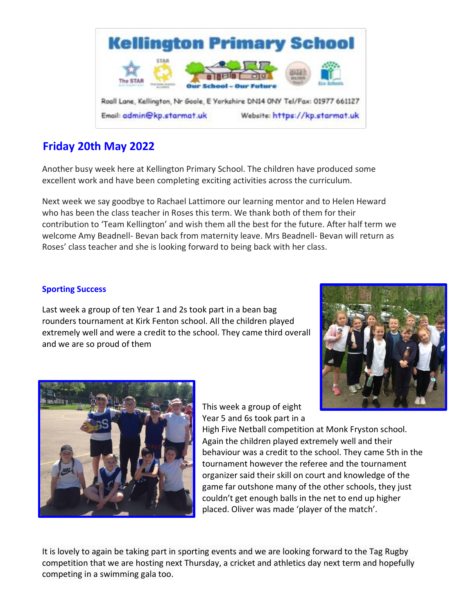

# **Friday 20th May 2022**

Another busy week here at Kellington Primary School. The children have produced some excellent work and have been completing exciting activities across the curriculum.

Next week we say goodbye to Rachael Lattimore our learning mentor and to Helen Heward who has been the class teacher in Roses this term. We thank both of them for their contribution to 'Team Kellington' and wish them all the best for the future. After half term we welcome Amy Beadnell- Bevan back from maternity leave. Mrs Beadnell- Bevan will return as Roses' class teacher and she is looking forward to being back with her class.

# **Sporting Success**

Last week a group of ten Year 1 and 2s took part in a bean bag rounders tournament at Kirk Fenton school. All the children played extremely well and were a credit to the school. They came third overall and we are so proud of them





This week a group of eight Year 5 and 6s took part in a

High Five Netball competition at Monk Fryston school. Again the children played extremely well and their behaviour was a credit to the school. They came 5th in the tournament however the referee and the tournament organizer said their skill on court and knowledge of the game far outshone many of the other schools, they just couldn't get enough balls in the net to end up higher placed. Oliver was made 'player of the match'.

It is lovely to again be taking part in sporting events and we are looking forward to the Tag Rugby competition that we are hosting next Thursday, a cricket and athletics day next term and hopefully competing in a swimming gala too.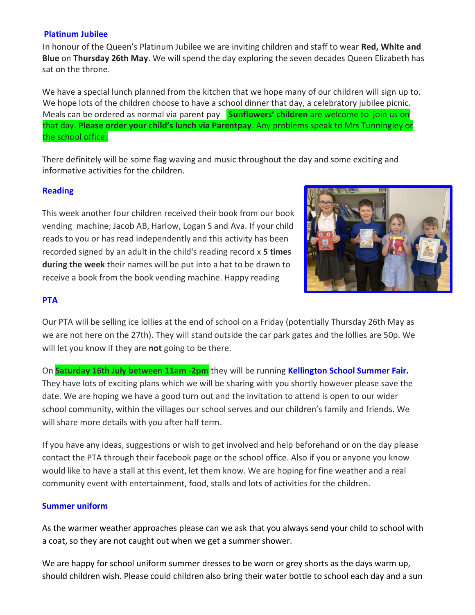## **Platinum Jubilee**

In honour of the Queen's Platinum Jubilee we are inviting children and staff to wear **Red, White and Blue** on **Thursday 26th May**. We will spend the day exploring the seven decades Queen Elizabeth has sat on the throne.

We have a special lunch planned from the kitchen that we hope many of our children will sign up to. We hope lots of the children choose to have a school dinner that day, a celebratory jubilee picnic. Meals can be ordered as normal via parent pay **Sunflowers' children** are welcome to join us on that day. **Please order your child's lunch via Parentpay**. Any problems speak to Mrs Tunningley or the school office.

There definitely will be some flag waving and music throughout the day and some exciting and informative activities for the children.

## **Reading**

This week another four children received their book from our book vending machine; Jacob AB, Harlow, Logan S and Ava. If your child reads to you or has read independently and this activity has been recorded signed by an adult in the child's reading record x **5 times during the week** their names will be put into a hat to be drawn to receive a book from the book vending machine. Happy reading



## **PTA**

Our PTA will be selling ice lollies at the end of school on a Friday (potentially Thursday 26th May as we are not here on the 27th). They will stand outside the car park gates and the lollies are 50p. We will let you know if they are **not** going to be there.

On **Saturday 16th July between 11am -2pm** they will be running **Kellington School Summer Fair.**  They have lots of exciting plans which we will be sharing with you shortly however please save the date. We are hoping we have a good turn out and the invitation to attend is open to our wider school community, within the villages our school serves and our children's family and friends. We will share more details with you after half term.

If you have any ideas, suggestions or wish to get involved and help beforehand or on the day please contact the PTA through their facebook page or the school office. Also if you or anyone you know would like to have a stall at this event, let them know. We are hoping for fine weather and a real community event with entertainment, food, stalls and lots of activities for the children.

## **Summer uniform**

As the warmer weather approaches please can we ask that you always send your child to school with a coat, so they are not caught out when we get a summer shower.

We are happy for school uniform summer dresses to be worn or grey shorts as the days warm up, should children wish. Please could children also bring their water bottle to school each day and a sun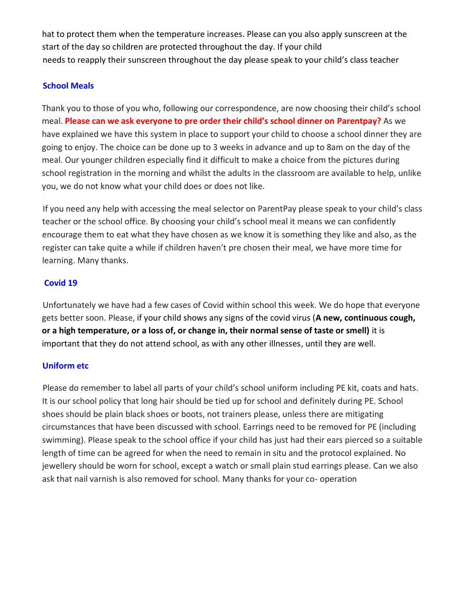hat to protect them when the temperature increases. Please can you also apply sunscreen at the start of the day so children are protected throughout the day. If your child needs to reapply their sunscreen throughout the day please speak to your child's class teacher

## **School Meals**

Thank you to those of you who, following our correspondence, are now choosing their child's school meal. **Please can we ask everyone to pre order their child's school dinner on Parentpay?** As we have explained we have this system in place to support your child to choose a school dinner they are going to enjoy. The choice can be done up to 3 weeks in advance and up to 8am on the day of the meal. Our younger children especially find it difficult to make a choice from the pictures during school registration in the morning and whilst the adults in the classroom are available to help, unlike you, we do not know what your child does or does not like.

If you need any help with accessing the meal selector on ParentPay please speak to your child's class teacher or the school office. By choosing your child's school meal it means we can confidently encourage them to eat what they have chosen as we know it is something they like and also, as the register can take quite a while if children haven't pre chosen their meal, we have more time for learning. Many thanks.

# **Covid 19**

Unfortunately we have had a few cases of Covid within school this week. We do hope that everyone gets better soon. Please, if your child shows any signs of the covid virus (**A new, continuous cough, or a high temperature, or a loss of, or change in, their normal sense of taste or smell)** it is important that they do not attend school, as with any other illnesses, until they are well.

# **Uniform etc**

Please do remember to label all parts of your child's school uniform including PE kit, coats and hats. It is our school policy that long hair should be tied up for school and definitely during PE. School shoes should be plain black shoes or boots, not trainers please, unless there are mitigating circumstances that have been discussed with school. Earrings need to be removed for PE (including swimming). Please speak to the school office if your child has just had their ears pierced so a suitable length of time can be agreed for when the need to remain in situ and the protocol explained. No jewellery should be worn for school, except a watch or small plain stud earrings please. Can we also ask that nail varnish is also removed for school. Many thanks for your co- operation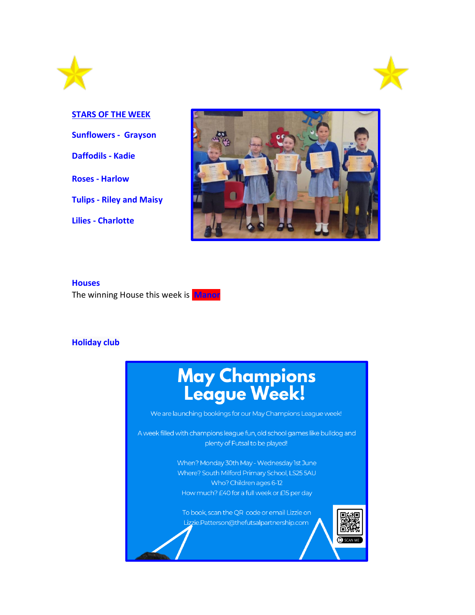



**STARS OF THE WEEK Sunflowers - Grayson Daffodils - Kadie Roses - Harlow Tulips - Riley and Maisy Lilies - Charlotte** 



#### **Houses**

The winning House this week is **Manor**

#### **Holiday club**



We are launching bookings for our May Champions League week!

A week filled with champions league fun, old school games like bulldog and plenty of Futsal to be played!

> When? Monday 30th May - Wednesday 1st June Where? South Milford Primary School, LS25 5AU Who? Children ages 6-12 How much? £40 for a full week or £15 per day

To book, scan the QR code or email Lizzie on Lizzie.Patterson@thefutsalpartnership.com

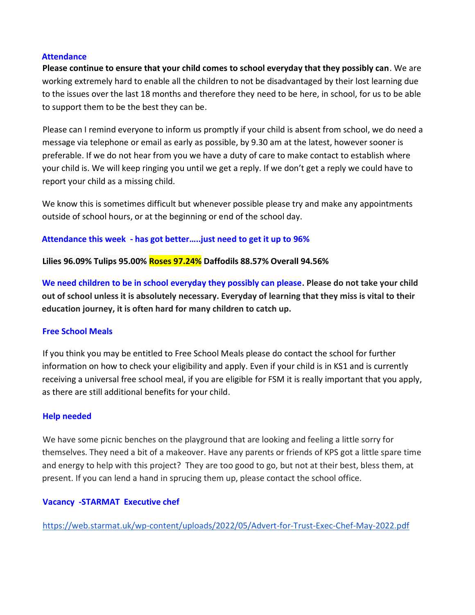#### **Attendance**

**Please continue to ensure that your child comes to school everyday that they possibly can**. We are working extremely hard to enable all the children to not be disadvantaged by their lost learning due to the issues over the last 18 months and therefore they need to be here, in school, for us to be able to support them to be the best they can be.

Please can I remind everyone to inform us promptly if your child is absent from school, we do need a message via telephone or email as early as possible, by 9.30 am at the latest, however sooner is preferable. If we do not hear from you we have a duty of care to make contact to establish where your child is. We will keep ringing you until we get a reply. If we don't get a reply we could have to report your child as a missing child.

We know this is sometimes difficult but whenever possible please try and make any appointments outside of school hours, or at the beginning or end of the school day.

## **Attendance this week - has got better…..just need to get it up to 96%**

**Lilies 96.09% Tulips 95.00% Roses 97.24% Daffodils 88.57% Overall 94.56%**

**We need children to be in school everyday they possibly can please. Please do not take your child out of school unless it is absolutely necessary. Everyday of learning that they miss is vital to their education journey, it is often hard for many children to catch up.** 

# **Free School Meals**

If you think you may be entitled to Free School Meals please do contact the school for further information on how to check your eligibility and apply. Even if your child is in KS1 and is currently receiving a universal free school meal, if you are eligible for FSM it is really important that you apply, as there are still additional benefits for your child.

## **Help needed**

We have some picnic benches on the playground that are looking and feeling a little sorry for themselves. They need a bit of a makeover. Have any parents or friends of KPS got a little spare time and energy to help with this project? They are too good to go, but not at their best, bless them, at present. If you can lend a hand in sprucing them up, please contact the school office.

## **Vacancy -STARMAT Executive chef**

<https://web.starmat.uk/wp-content/uploads/2022/05/Advert-for-Trust-Exec-Chef-May-2022.pdf>